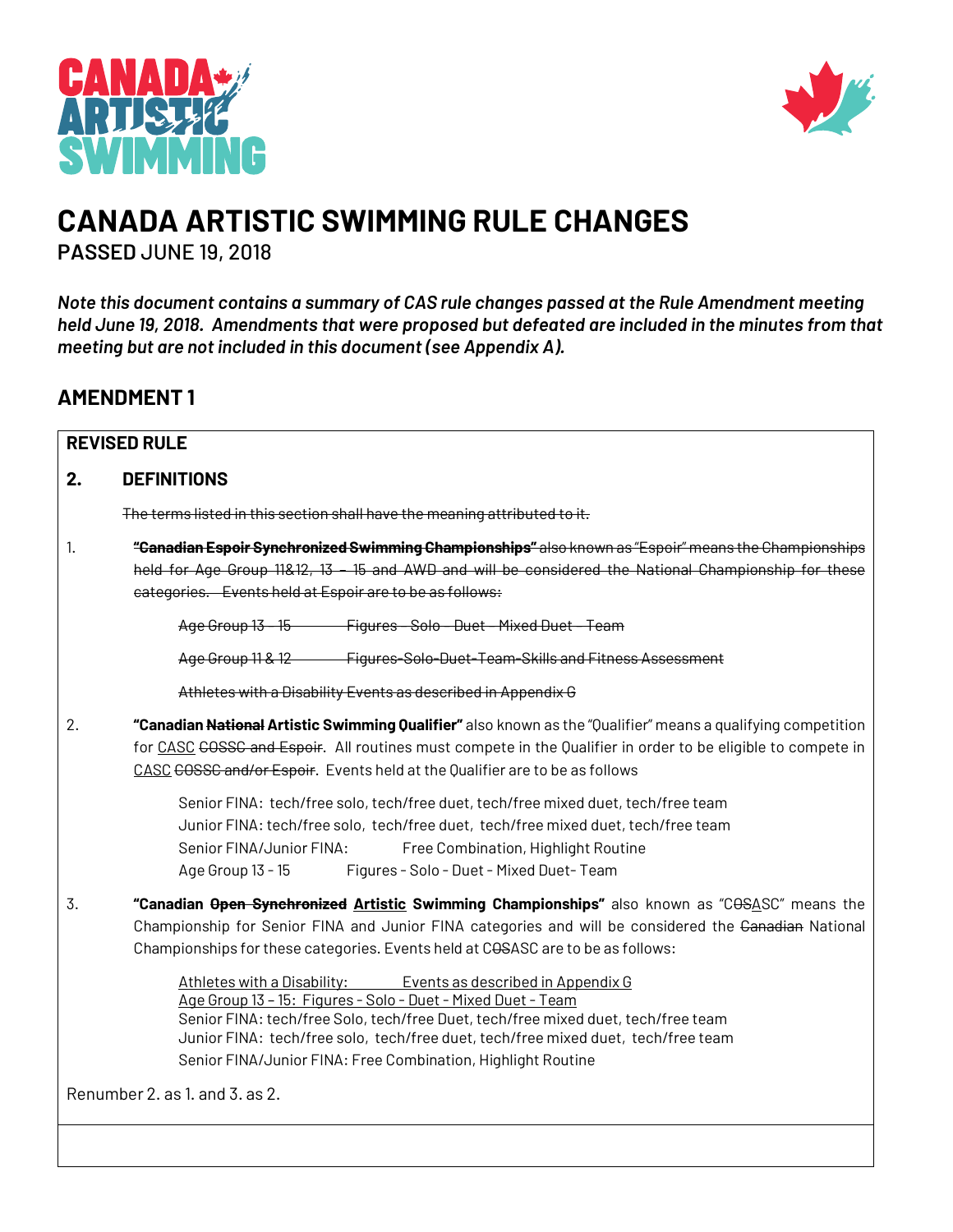



# **CANADA ARTISTIC SWIMMING RULE CHANGES**

**PASSED** JUNE 19, 2018

*Note this document contains a summary of CAS rule changes passed at the Rule Amendment meeting held June 19, 2018. Amendments that were proposed but defeated are included in the minutes from that meeting but are not included in this document (see Appendix A).*

## **AMENDMENT 1**

| <b>REVISED RULE</b>                                                                                                                                                                                                                                                                                                                                                                        |  |  |  |
|--------------------------------------------------------------------------------------------------------------------------------------------------------------------------------------------------------------------------------------------------------------------------------------------------------------------------------------------------------------------------------------------|--|--|--|
| <b>DEFINITIONS</b><br>2.                                                                                                                                                                                                                                                                                                                                                                   |  |  |  |
| The terms listed in this section shall have the meaning attributed to it.                                                                                                                                                                                                                                                                                                                  |  |  |  |
| 1.<br>"Ganadian Espoir Synchronized Swimming Championships" also known as "Espoir" means the Championships<br>held for Age Group 11&12, 13 - 15 and AWD and will be considered the National Championship for these<br>eategories. Events held at Espoir are to be as follows:                                                                                                              |  |  |  |
| Age Group 13 - 15 Figures - Solo - Duet - Mixed Duet - Team                                                                                                                                                                                                                                                                                                                                |  |  |  |
| Age Group 11 & 12 Figures Solo Duet Team Skills and Fitness Assessment                                                                                                                                                                                                                                                                                                                     |  |  |  |
| Athletes with a Disability Events as described in Appendix G                                                                                                                                                                                                                                                                                                                               |  |  |  |
| 2.<br>"Canadian National Artistic Swimming Qualifier" also known as the "Qualifier" means a qualifying competition<br>for CASC COSSC and Espoir. All routines must compete in the Qualifier in order to be eligible to compete in<br>CASC COSSC and/or Espoir. Events held at the Qualifier are to be as follows                                                                           |  |  |  |
| Senior FINA: tech/free solo, tech/free duet, tech/free mixed duet, tech/free team<br>Junior FINA: tech/free solo, tech/free duet, tech/free mixed duet, tech/free team<br>Senior FINA/Junior FINA:<br>Free Combination, Highlight Routine<br>Figures - Solo - Duet - Mixed Duet-Team<br>Age Group 13 - 15                                                                                  |  |  |  |
| 3.<br>"Canadian Open Synchronized Artistic Swimming Championships" also known as "COSASC" means the<br>Championship for Senior FINA and Junior FINA categories and will be considered the Ganadian National<br>Championships for these categories. Events held at COSASC are to be as follows:                                                                                             |  |  |  |
| <u>Athletes with a Disability: Athletes</u><br>Events as described in Appendix G<br>Age Group 13 - 15: Figures - Solo - Duet - Mixed Duet - Team<br>Senior FINA: tech/free Solo, tech/free Duet, tech/free mixed duet, tech/free team<br>Junior FINA: tech/free solo, tech/free duet, tech/free mixed duet, tech/free team<br>Senior FINA/Junior FINA: Free Combination, Highlight Routine |  |  |  |
| Renumber 2, as 1, and 3, as 2.                                                                                                                                                                                                                                                                                                                                                             |  |  |  |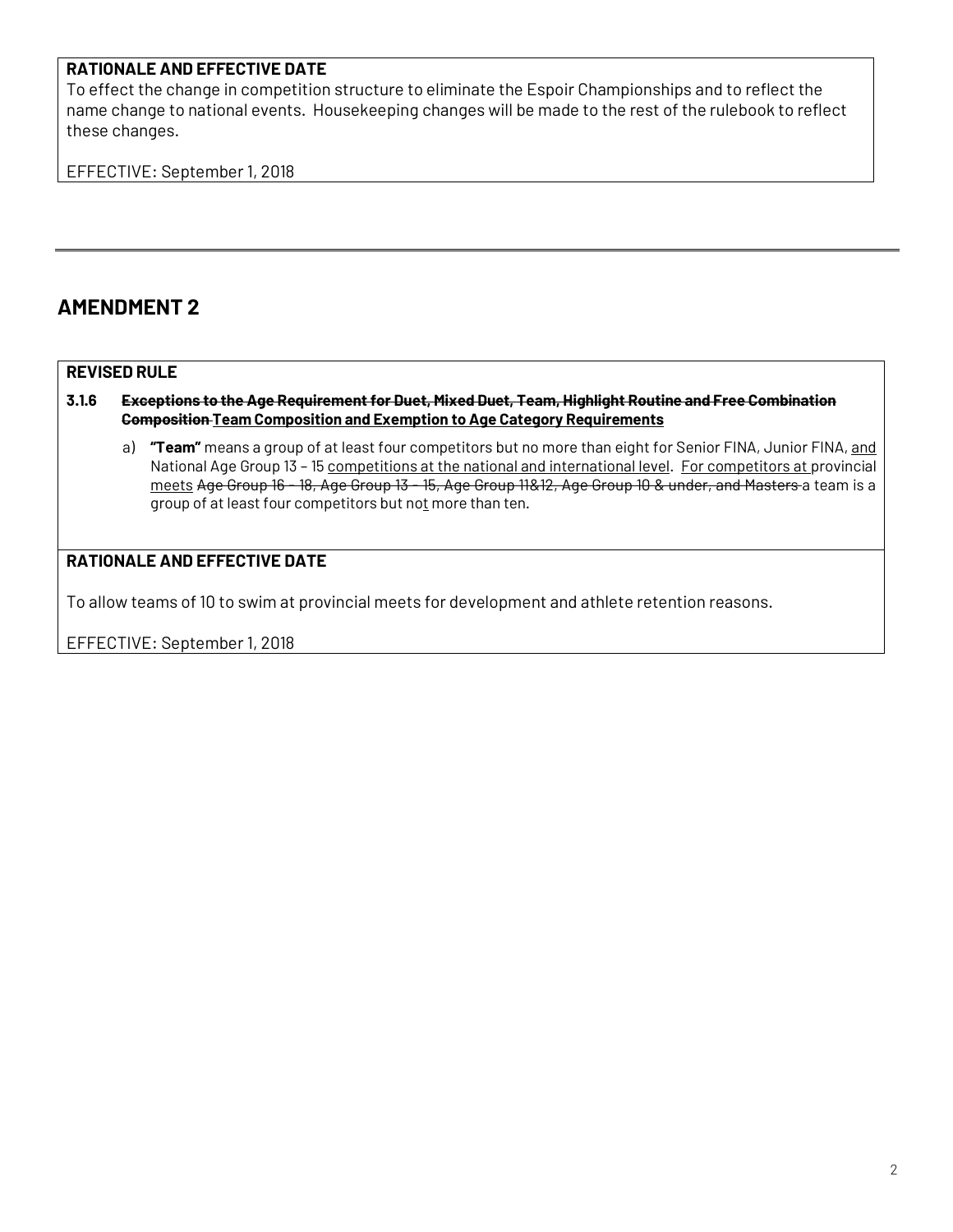#### **RATIONALE AND EFFECTIVE DATE**

To effect the change in competition structure to eliminate the Espoir Championships and to reflect the name change to national events. Housekeeping changes will be made to the rest of the rulebook to reflect these changes.

EFFECTIVE: September 1, 2018

### **AMENDMENT 2**

#### **REVISED RULE**

#### **3.1.6 Exceptions to the Age Requirementfor Duet, Mixed Duet, Team, Highlight Routine and Free Combination Composition Team Composition and Exemption to Age Category Requirements**

a) **"Team"** means a group of at least four competitors but no more than eight for Senior FINA, Junior FINA, and National Age Group 13 – 15 competitions at the national and international level. For competitors at provincial meets Age Group 16 - 18, Age Group 13 - 15, Age Group 11&12, Age Group 10 & under, and Masters a team is a group of at least four competitors but not more than ten.

#### **RATIONALE AND EFFECTIVE DATE**

To allow teams of 10 to swim at provincial meets for development and athlete retention reasons.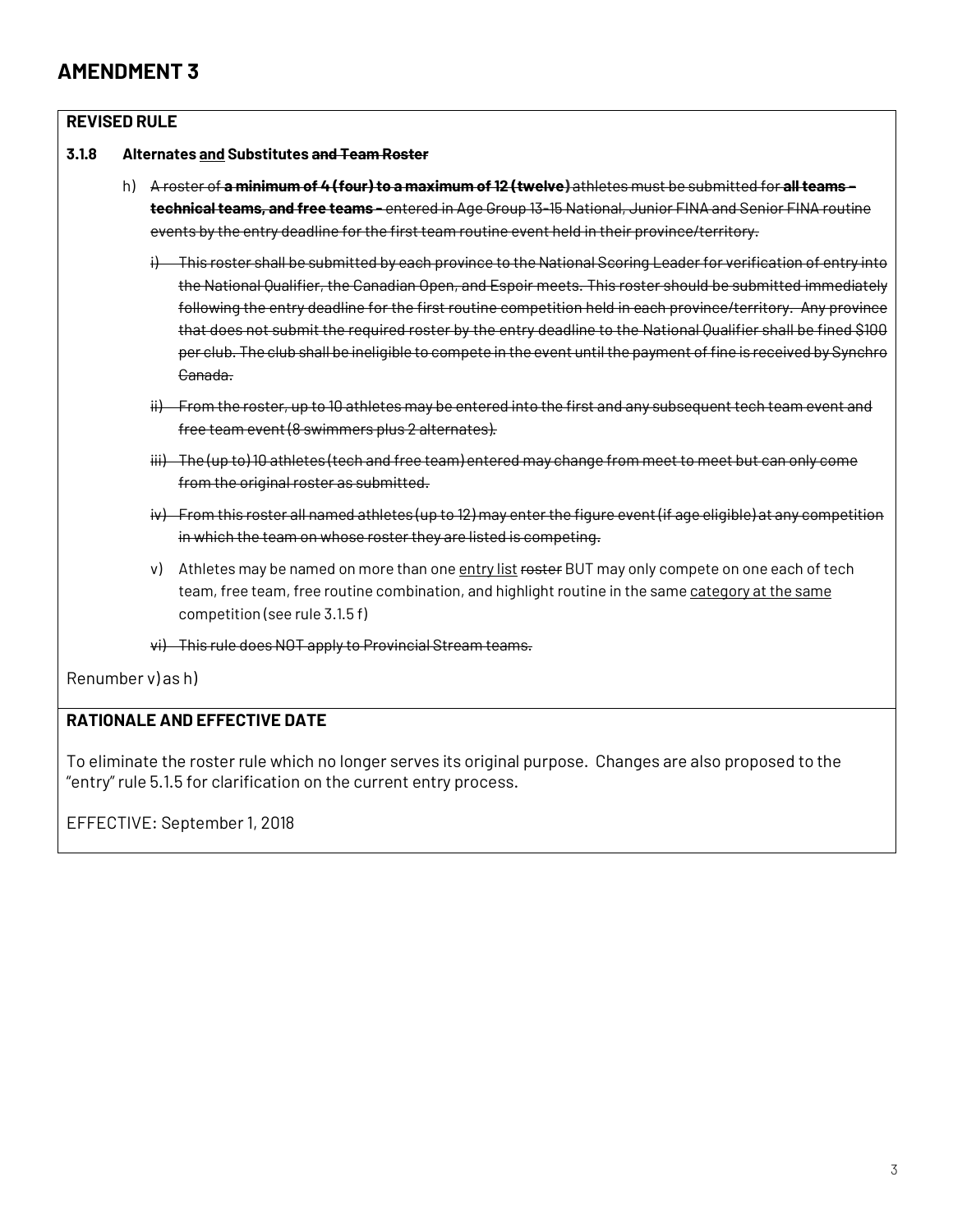#### **REVISED RULE**



- h) A roster of **a minimum of 4 (four) to a maximum of12 (twelve)** athletes must be submitted for **allteams – technicalteams, and free teams -** entered in Age Group 13-15 National, Junior FINA and Senior FINA routine events by the entry deadline for the first team routine event held in their province/territory.
	- i) This roster shall be submitted by each province to the National Scoring Leader for verification of entry into the National Qualifier, the Canadian Open, and Espoir meets. This roster should be submitted immediately following the entry deadline for the first routine competition held in each province/territory. Any province that does not submit the required roster by the entry deadline to the National Qualifier shall be fined \$100 per club. The club shall be ineligible to compete in the event untilthe payment offine is received by Synchro Canada.
	- ii) From the roster, up to 10 athletes may be entered into the first and any subsequent tech team event and free team event (8 swimmers plus 2 alternates).
	- iii) The (up to) 10 athletes (tech and free team) entered may change from meet to meet but can only come from the original roster as submitted.
	- iv) From this roster all named athletes (up to 12) may enter the figure event (if age eligible) at any competition in which the team on whose roster they are listed is competing.
	- v) Athletes may be named on more than one entry list rester BUT may only compete on one each of tech team, free team, free routine combination, and highlight routine in the same category at the same competition (see rule 3.1.5 f)

vi) This rule does NOT apply to Provincial Stream teams.

Renumber v) as h)

#### **RATIONALE AND EFFECTIVE DATE**

To eliminate the roster rule which no longer serves its original purpose. Changes are also proposed to the "entry" rule 5.1.5 for clarification on the current entry process.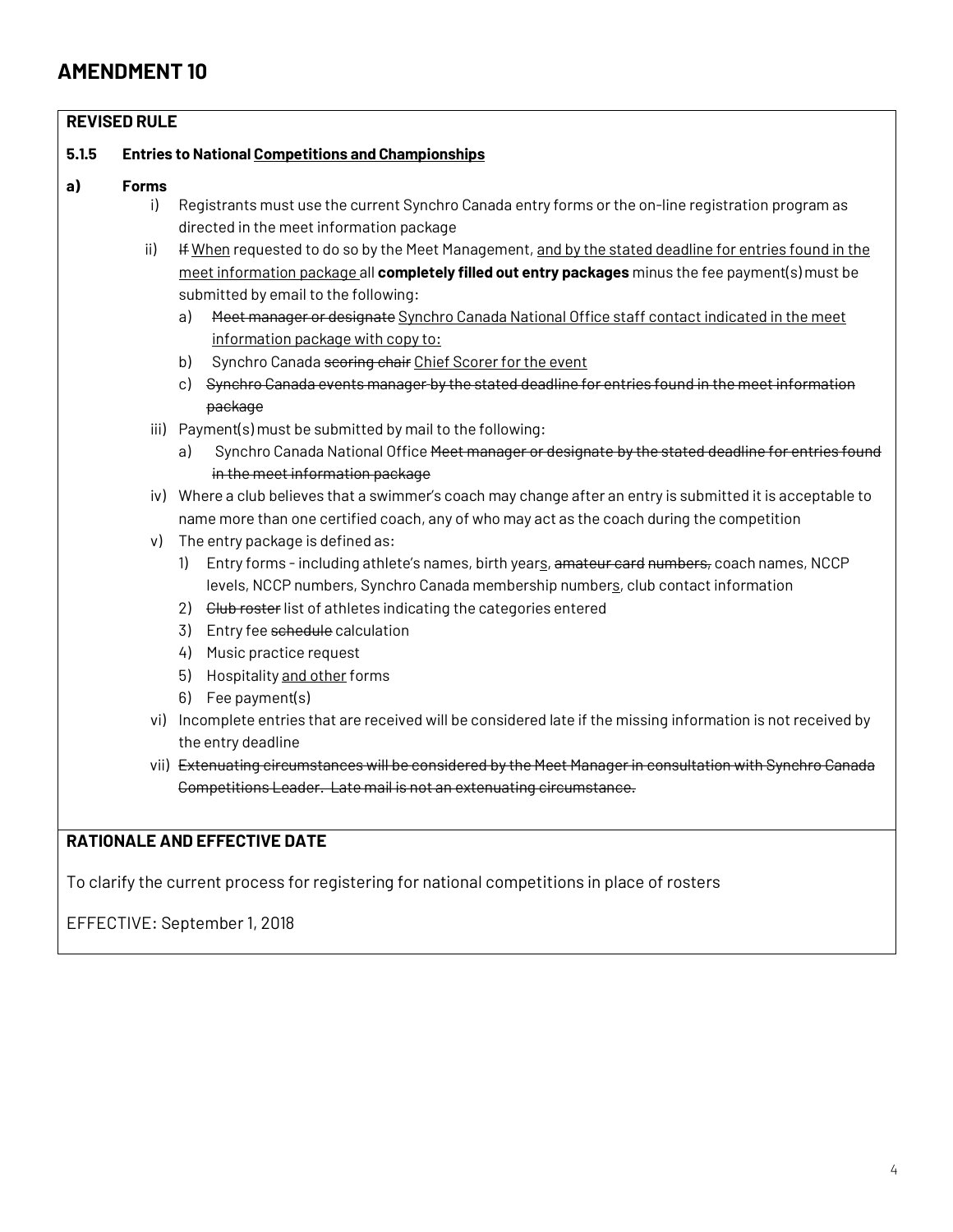| <b>REVISED RULE</b> |              |                                                                                                                |  |  |  |  |
|---------------------|--------------|----------------------------------------------------------------------------------------------------------------|--|--|--|--|
| 5.1.5               |              | <b>Entries to National Competitions and Championships</b>                                                      |  |  |  |  |
| a)                  | <b>Forms</b> |                                                                                                                |  |  |  |  |
|                     | i)           | Registrants must use the current Synchro Canada entry forms or the on-line registration program as             |  |  |  |  |
|                     |              | directed in the meet information package                                                                       |  |  |  |  |
|                     | ii)          | If When requested to do so by the Meet Management, and by the stated deadline for entries found in the         |  |  |  |  |
|                     |              | meet information package all completely filled out entry packages minus the fee payment(s) must be             |  |  |  |  |
|                     |              | submitted by email to the following:                                                                           |  |  |  |  |
|                     |              | Heet manager or designate Synchro Canada National Office staff contact indicated in the meet<br>a)             |  |  |  |  |
|                     |              | information package with copy to:                                                                              |  |  |  |  |
|                     |              | Synchro Canada seoring chair Chief Scorer for the event<br>b)                                                  |  |  |  |  |
|                     |              | c) Synchro Canada events manager by the stated deadline for entries found in the meet information              |  |  |  |  |
|                     |              | package                                                                                                        |  |  |  |  |
|                     |              | iii) Payment(s) must be submitted by mail to the following:                                                    |  |  |  |  |
|                     |              | Synchro Canada National Office Heet manager or designate by the stated deadline for entries found<br>a)        |  |  |  |  |
|                     |              | in the meet information package                                                                                |  |  |  |  |
|                     |              | iv) Where a club believes that a swimmer's coach may change after an entry is submitted it is acceptable to    |  |  |  |  |
|                     |              | name more than one certified coach, any of who may act as the coach during the competition                     |  |  |  |  |
|                     | v)           | The entry package is defined as:                                                                               |  |  |  |  |
|                     |              | Entry forms - including athlete's names, birth years, amateur card numbers, coach names, NCCP<br>1)            |  |  |  |  |
|                     |              | levels, NCCP numbers, Synchro Canada membership numbers, club contact information                              |  |  |  |  |
|                     |              | Club roster list of athletes indicating the categories entered<br>2)                                           |  |  |  |  |
|                     |              | Entry fee schedule calculation<br>3)                                                                           |  |  |  |  |
|                     |              | Music practice request<br>4)                                                                                   |  |  |  |  |
|                     |              | 5)<br>Hospitality and other forms                                                                              |  |  |  |  |
|                     |              | Fee payment(s)<br>6)                                                                                           |  |  |  |  |
|                     |              | vi) Incomplete entries that are received will be considered late if the missing information is not received by |  |  |  |  |
|                     |              | the entry deadline                                                                                             |  |  |  |  |
|                     |              | vii) Extenuating circumstances will be considered by the Meet Manager in consultation with Synchro Canada      |  |  |  |  |
|                     |              | Competitions Leader. Late mail is not an extenuating circumstance.                                             |  |  |  |  |

### **RATIONALE AND EFFECTIVE DATE**

To clarify the current process for registering for national competitions in place of rosters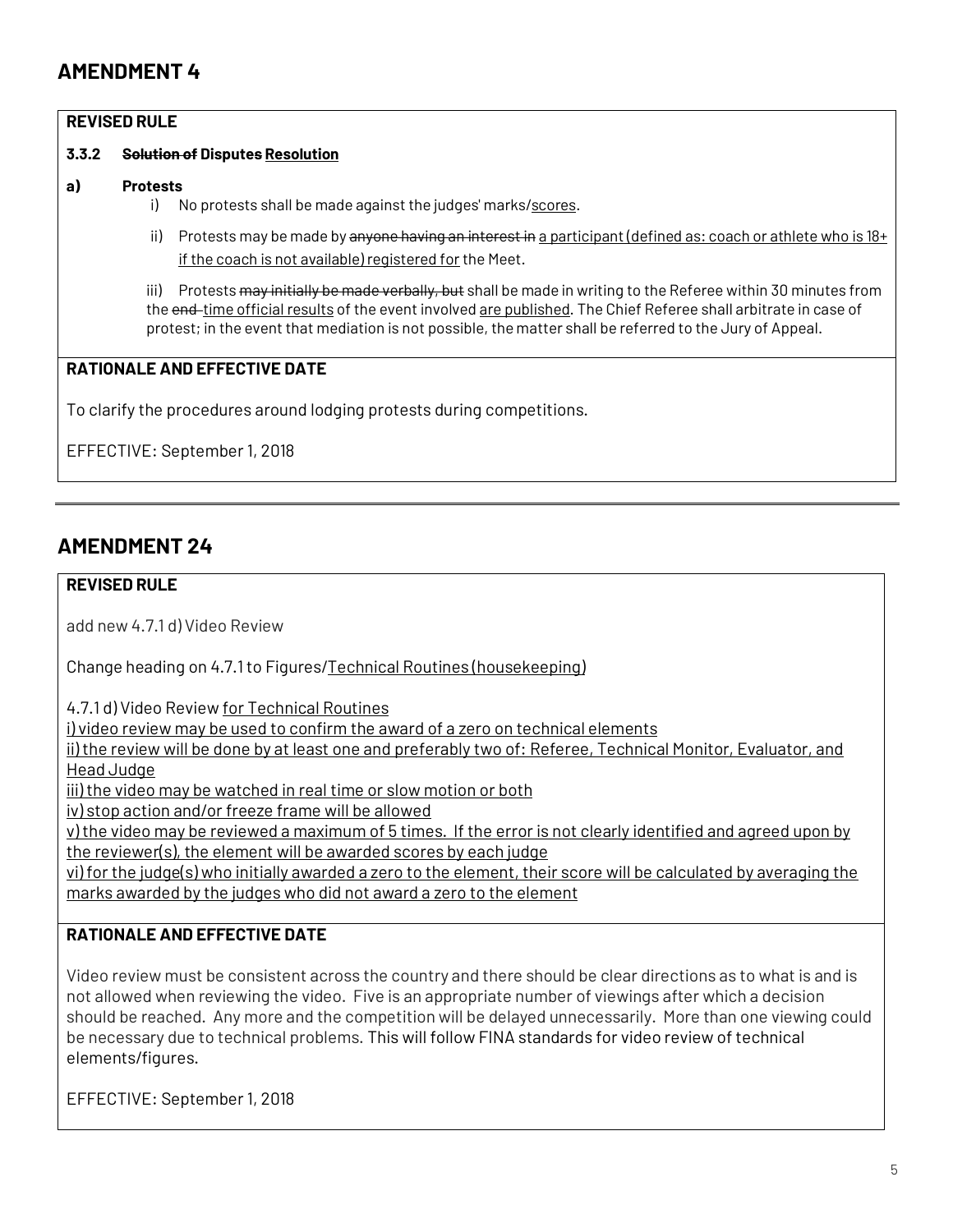#### **REVISED RULE**

#### **3.3.2 Solution of Disputes Resolution**

- **a) Protests**
	- i) No protests shall be made against the judges' marks/scores.
	- ii) Protests may be made by anyone having an interest in a participant (defined as: coach or athlete who is  $18+$ if the coach is not available) registered for the Meet.

iii) Protests may initially be made verbally, but shall be made in writing to the Referee within 30 minutes from the end-time official results of the event involved are published. The Chief Referee shall arbitrate in case of protest; in the event that mediation is not possible, the matter shall be referred to the Jury of Appeal.

#### **RATIONALE AND EFFECTIVE DATE**

To clarify the procedures around lodging protests during competitions.

EFFECTIVE: September 1, 2018

### **AMENDMENT 24**

#### **REVISED RULE**

add new 4.7.1 d) Video Review

Change heading on 4.7.1 to Figures/Technical Routines (housekeeping)

4.7.1 d) Video Review for Technical Routines

i) video review may be used to confirm the award of a zero on technical elements

ii) the review will be done by at least one and preferably two of: Referee, Technical Monitor, Evaluator, and Head Judge

iii) the video may be watched in real time or slow motion or both

iv) stop action and/or freeze frame will be allowed

v) the video may be reviewed a maximum of 5 times. If the error is not clearly identified and agreed upon by the reviewer(s), the element will be awarded scores by each judge

vi) for the judge(s) who initially awarded a zero to the element, their score will be calculated by averaging the marks awarded by the judges who did not award a zero to the element

#### **RATIONALE AND EFFECTIVE DATE**

Video review must be consistent across the country and there should be clear directions as to what is and is not allowed when reviewing the video. Five is an appropriate number of viewings after which a decision should be reached. Any more and the competition will be delayed unnecessarily. More than one viewing could be necessary due to technical problems. This will follow FINA standards for video review of technical elements/figures.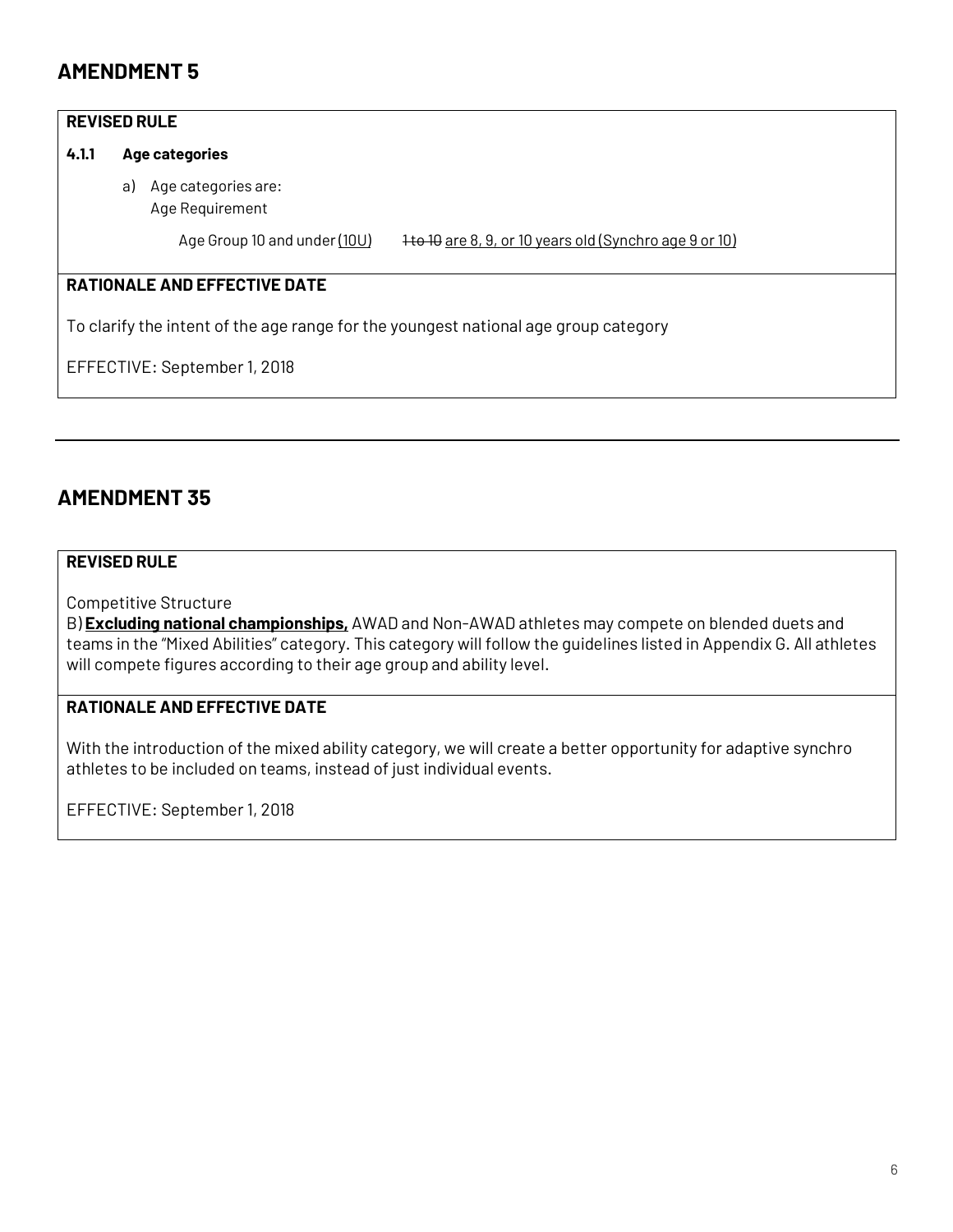#### **REVISED RULE**

#### **4.1.1 Age categories**

a) Age categories are: Age Requirement

Age Group 10 and under (10U) 1to 10 are 8, 9, or 10 years old (Synchro age 9 or 10)

#### **RATIONALE AND EFFECTIVE DATE**

To clarify the intent of the age range for the youngest national age group category

EFFECTIVE: September 1, 2018

### **AMENDMENT 35**

#### **REVISED RULE**

Competitive Structure

B) **Excluding national championships,** AWAD and Non-AWAD athletes may compete on blended duets and teams in the "Mixed Abilities" category. This category will follow the guidelines listed in Appendix G. All athletes will compete figures according to their age group and ability level.

#### **RATIONALE AND EFFECTIVE DATE**

With the introduction of the mixed ability category, we will create a better opportunity for adaptive synchro athletes to be included on teams, instead of just individual events.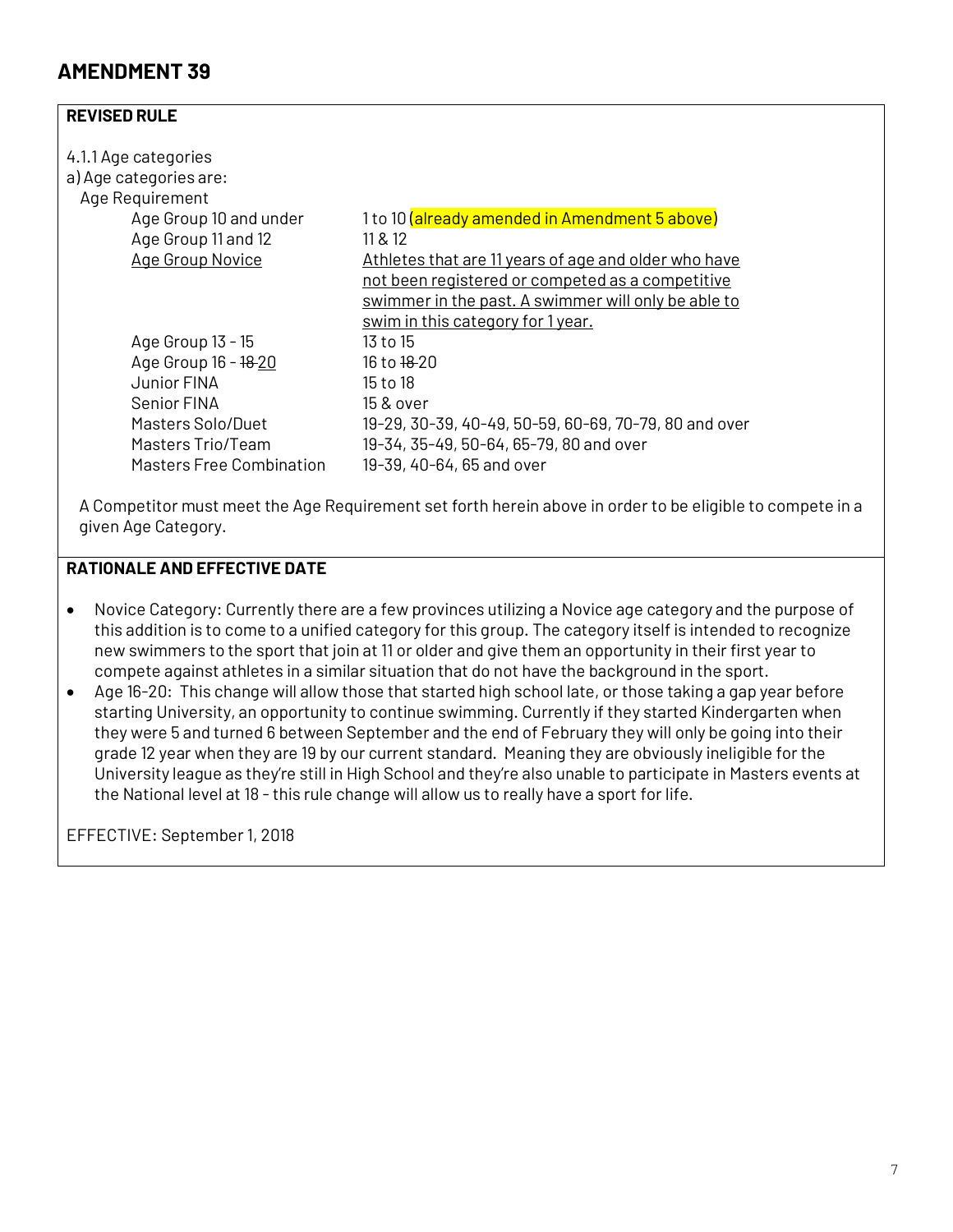#### **REVISED RULE**

| 1 to 10 (already amended in Amendment 5 above)        |
|-------------------------------------------------------|
| 11 & 12                                               |
| Athletes that are 11 years of age and older who have  |
| not been registered or competed as a competitive      |
| swimmer in the past. A swimmer will only be able to   |
| swim in this category for 1 year.                     |
| 13 to 15                                              |
| 16 to <del>18 </del> 20                               |
| 15 to 18                                              |
| 15 & over                                             |
| 19-29, 30-39, 40-49, 50-59, 60-69, 70-79, 80 and over |
| 19-34, 35-49, 50-64, 65-79, 80 and over               |
| 19-39, 40-64, 65 and over                             |
|                                                       |

A Competitor must meet the Age Requirement set forth herein above in order to be eligible to compete in a given Age Category.

#### **RATIONALE AND EFFECTIVE DATE**

- Novice Category: Currently there are a few provinces utilizing a Novice age category and the purpose of this addition is to come to a unified category for this group. The category itself is intended to recognize new swimmers to the sport that join at 11 or older and give them an opportunity in their first year to compete against athletes in a similar situation that do not have the background in the sport.
- Age 16-20: This change will allow those that started high school late, or those taking a gap year before starting University, an opportunity to continue swimming. Currently if they started Kindergarten when they were 5 and turned 6 between September and the end of February they will only be going into their grade 12 year when they are 19 by our current standard. Meaning they are obviously ineligible for the University league as they're still in High School and they're also unable to participate in Masters events at the National level at 18 - this rule change will allow us to really have a sport for life.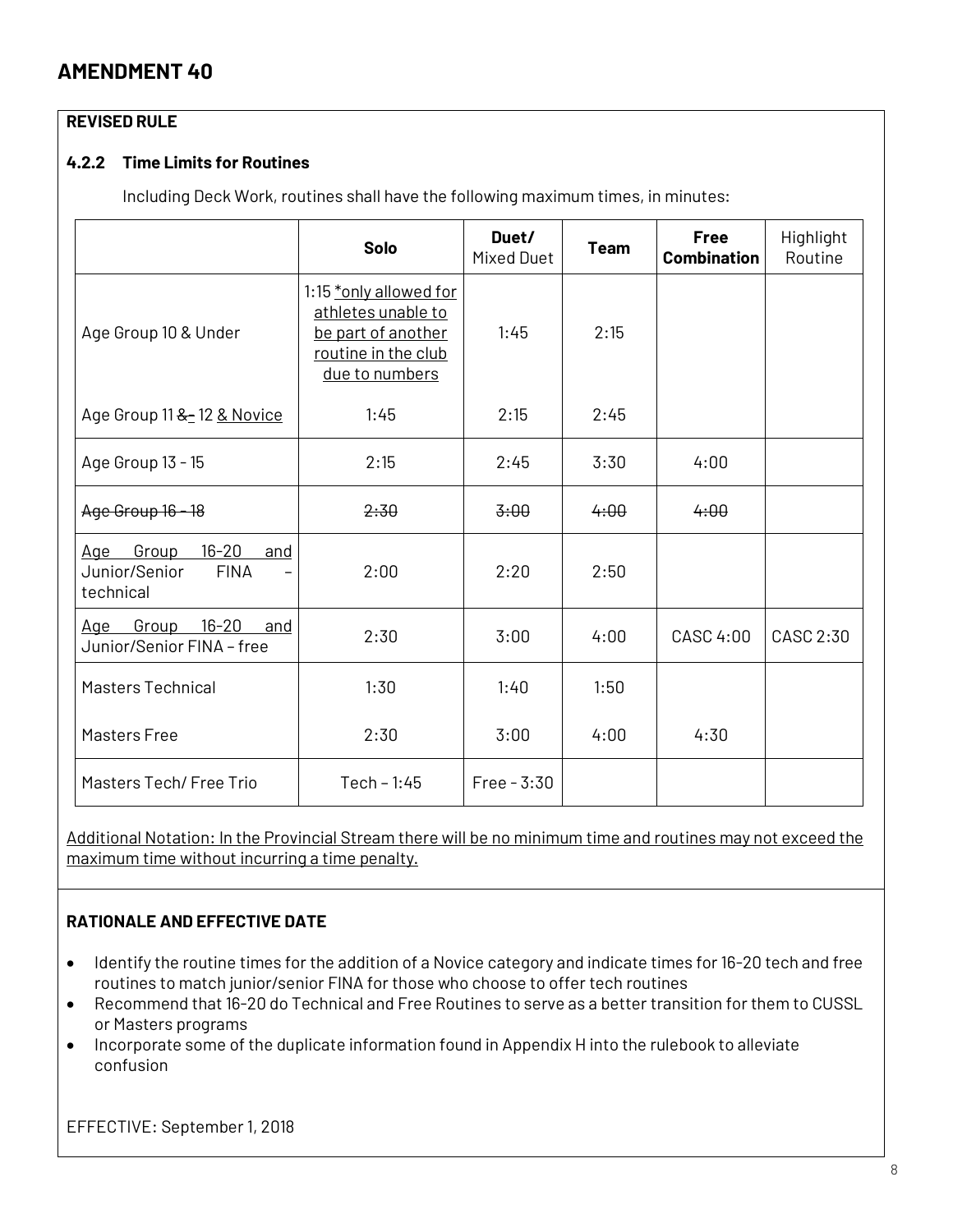#### **REVISED RULE**

#### **4.2.2 Time Limits for Routines**

Including Deck Work, routines shall have the following maximum times, in minutes:

|                                                                            | <b>Solo</b>                                                                                                 | Duet/<br><b>Mixed Duet</b> | <b>Team</b> | <b>Free</b><br><b>Combination</b> | Highlight<br>Routine |
|----------------------------------------------------------------------------|-------------------------------------------------------------------------------------------------------------|----------------------------|-------------|-----------------------------------|----------------------|
| Age Group 10 & Under                                                       | 1:15 *only allowed for<br>athletes unable to<br>be part of another<br>routine in the club<br>due to numbers | 1:45                       | 2:15        |                                   |                      |
| Age Group 11 & 12 & Novice                                                 | 1:45                                                                                                        | 2:15                       | 2:45        |                                   |                      |
| Age Group 13 - 15                                                          | 2:15                                                                                                        | 2:45                       | 3:30        | 4:00                              |                      |
| Age Group 16 18                                                            | 2:30                                                                                                        | 3:00                       | 4:00        | 4:00                              |                      |
| $16 - 20$<br>Age Group<br>and<br>Junior/Senior<br><b>FINA</b><br>technical | 2:00                                                                                                        | 2:20                       | 2:50        |                                   |                      |
| $16 - 20$<br>Group<br>Age<br>and<br>Junior/Senior FINA - free              | 2:30                                                                                                        | 3:00                       | 4:00        | CASC 4:00                         | CASC 2:30            |
| <b>Masters Technical</b>                                                   | 1:30                                                                                                        | 1:40                       | 1:50        |                                   |                      |
| Masters Free                                                               | 2:30                                                                                                        | 3:00                       | 4:00        | 4:30                              |                      |
| Masters Tech/ Free Trio                                                    | $Tech - 1:45$                                                                                               | $Free - 3:30$              |             |                                   |                      |

Additional Notation: In the Provincial Stream there will be no minimum time and routines may not exceed the maximum time without incurring a time penalty.

#### **RATIONALE AND EFFECTIVE DATE**

- Identify the routine times for the addition of a Novice category and indicate times for 16-20 tech and free routines to match junior/senior FINA for those who choose to offer tech routines
- Recommend that 16-20 do Technical and Free Routines to serve as a better transition for them to CUSSL or Masters programs
- Incorporate some of the duplicate information found in Appendix H into the rulebook to alleviate confusion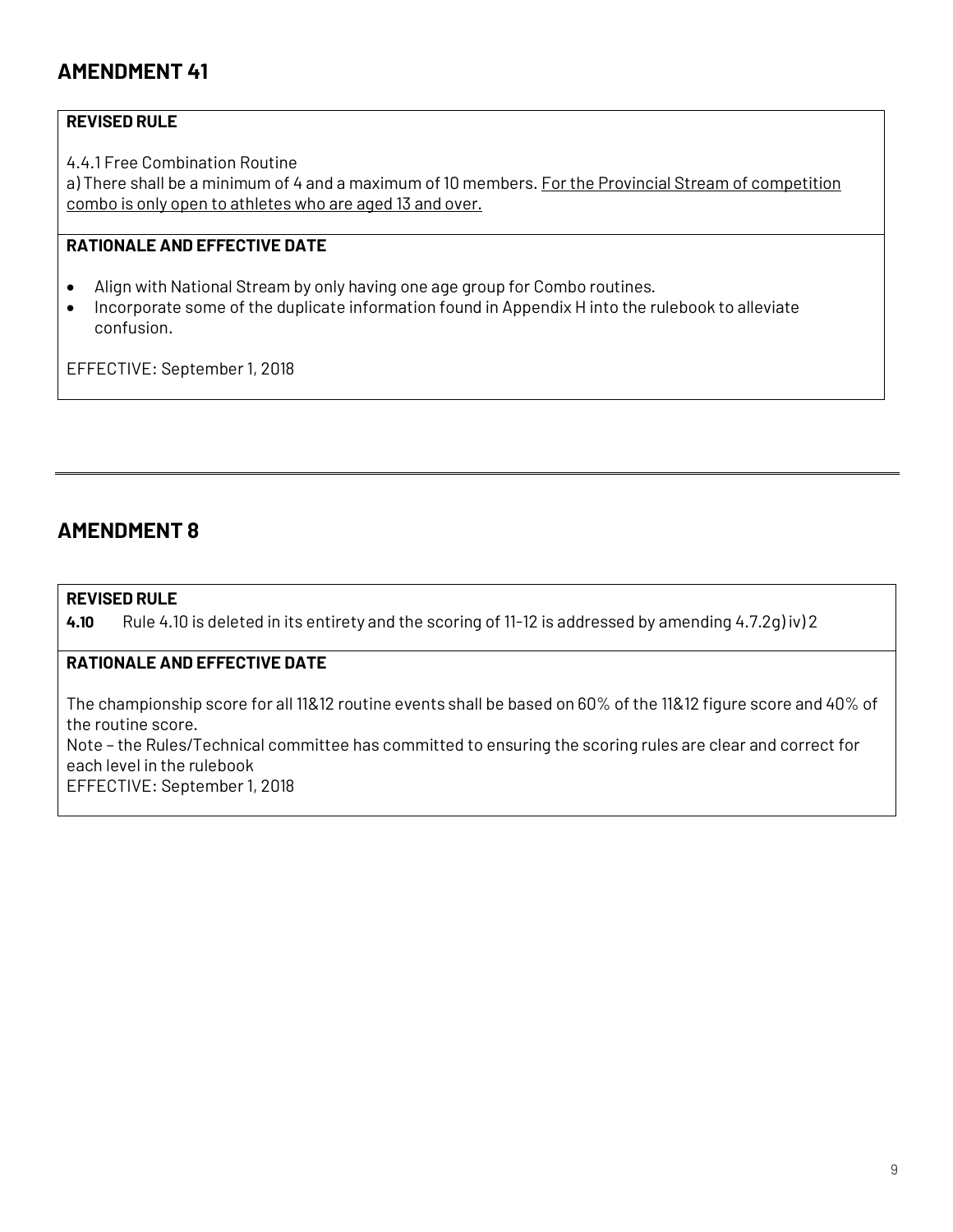#### **REVISED RULE**

4.4.1 Free Combination Routine

a) There shall be a minimum of 4 and a maximum of 10 members. For the Provincial Stream of competition combo is only open to athletes who are aged 13 and over.

#### **RATIONALE AND EFFECTIVE DATE**

- Align with National Stream by only having one age group for Combo routines.
- Incorporate some of the duplicate information found in Appendix H into the rulebook to alleviate confusion.

EFFECTIVE: September 1, 2018

### **AMENDMENT 8**

#### **REVISED RULE**

**4.10** Rule 4.10 is deleted in its entirety and the scoring of 11-12 is addressed by amending 4.7.2g) iv) 2

#### **RATIONALE AND EFFECTIVE DATE**

The championship score for all 11&12 routine events shall be based on 60% of the 11&12 figure score and 40% of the routine score.

Note – the Rules/Technical committee has committed to ensuring the scoring rules are clear and correct for each level in the rulebook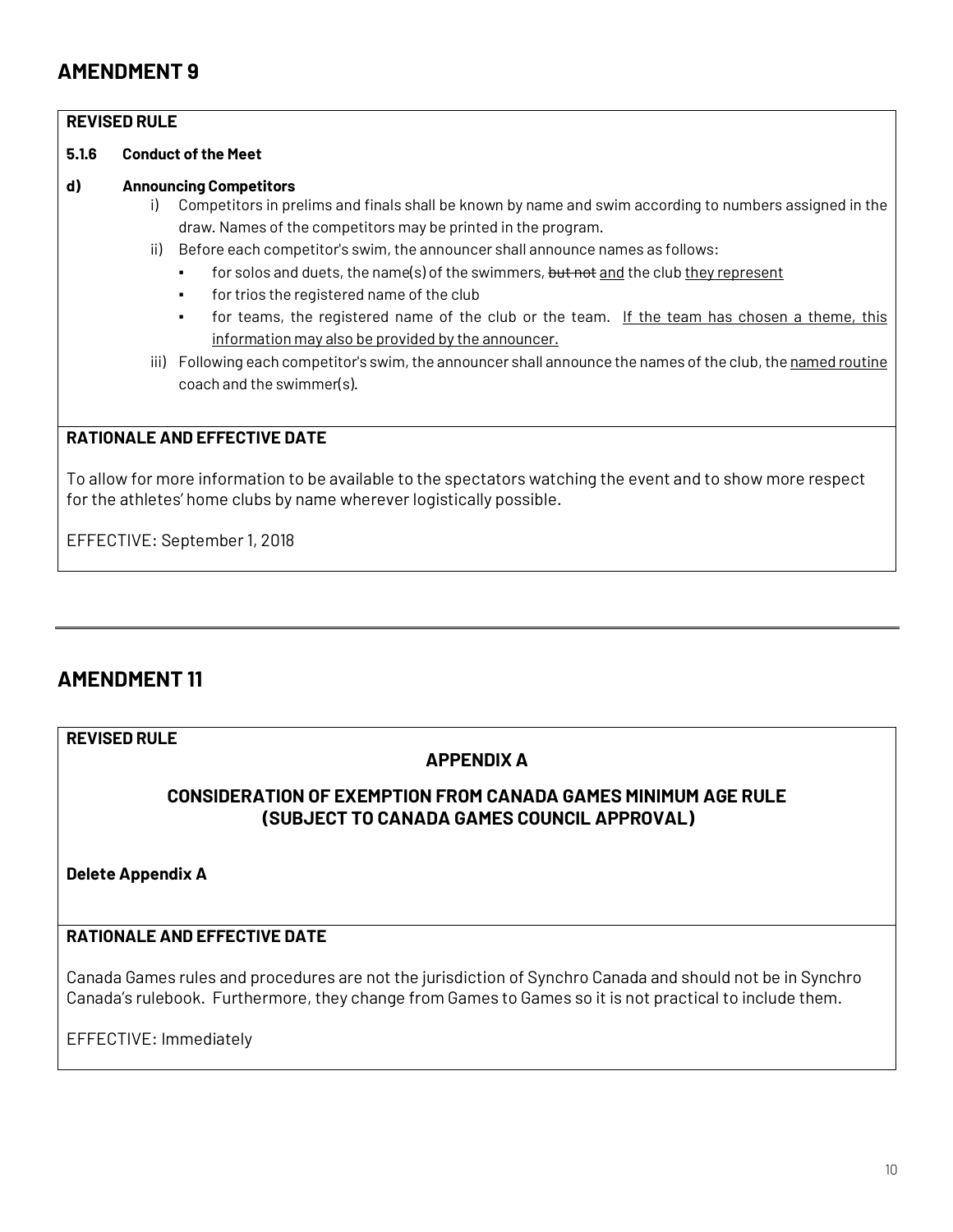#### **REVISED RULE**

#### **5.1.6 Conduct ofthe Meet**

#### **d) Announcing Competitors**

- i) Competitors in prelims and finals shall be known by name and swim according to numbers assigned in the draw. Names of the competitors may be printed in the program.
- ii) Before each competitor's swim, the announcer shall announce names as follows:
	- for solos and duets, the name(s) of the swimmers, but not and the club they represent
	- for trios the registered name of the club
	- for teams, the registered name of the club or the team. If the team has chosen a theme, this information may also be provided by the announcer.
- iii) Following each competitor's swim, the announcer shall announce the names of the club, the named routine coach and the swimmer(s).

#### **RATIONALE AND EFFECTIVE DATE**

To allow for more information to be available to the spectators watching the event and to show more respect for the athletes' home clubs by name wherever logistically possible.

EFFECTIVE: September 1, 2018

### **AMENDMENT 11**

#### **REVISED RULE**

#### **APPENDIX A**

#### **CONSIDERATION OF EXEMPTION FROM CANADA GAMES MINIMUM AGE RULE (SUBJECT TO CANADA GAMES COUNCIL APPROVAL)**

**Delete Appendix A**

### **RATIONALE AND EFFECTIVE DATE**

Canada Games rules and procedures are not the jurisdiction of Synchro Canada and should not be in Synchro Canada's rulebook. Furthermore, they change from Games to Games so it is not practical to include them.

EFFECTIVE: Immediately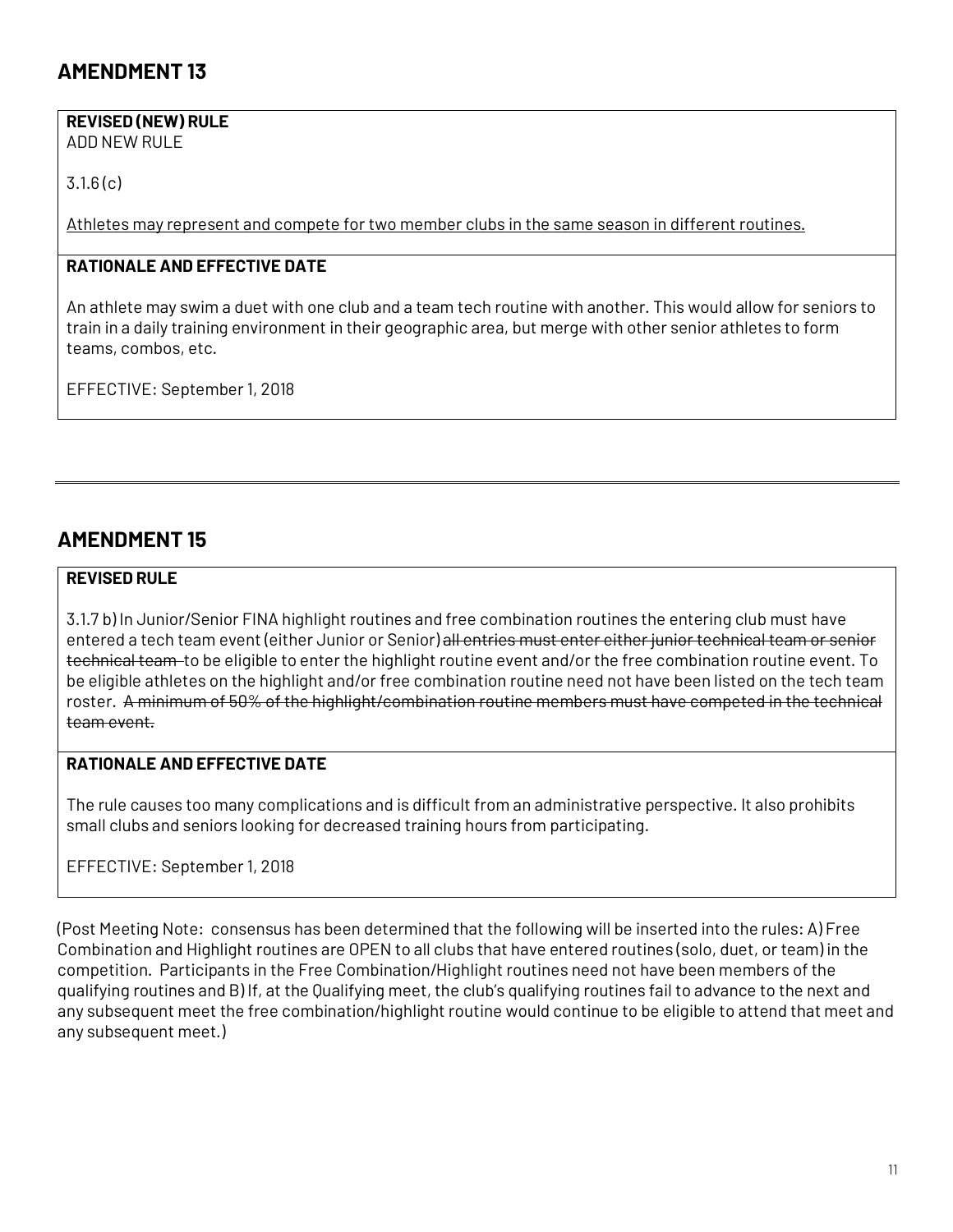#### **REVISED (NEW) RULE**

ADD NEW RULE

3.1.6 (c)

Athletes may represent and compete for two member clubs in the same season in different routines.

#### **RATIONALE AND EFFECTIVE DATE**

An athlete may swim a duet with one club and a team tech routine with another. This would allow for seniors to train in a daily training environment in their geographic area, but merge with other senior athletes to form teams, combos, etc.

EFFECTIVE: September 1, 2018

### **AMENDMENT 15**

#### **REVISED RULE**

3.1.7 b) In Junior/Senior FINA highlight routines and free combination routines the entering club must have entered a tech team event (either Junior or Senior) all entries must enter either junior technical team or senior technical team to be eligible to enter the highlight routine event and/or the free combination routine event. To be eligible athletes on the highlight and/or free combination routine need not have been listed on the tech team roster. A minimum of 50% of the highlight/combination routine members must have competed in the technical team event.

### **RATIONALE AND EFFECTIVE DATE**

The rule causes too many complications and is difficult from an administrative perspective. It also prohibits small clubs and seniors looking for decreased training hours from participating.

#### EFFECTIVE: September 1, 2018

(Post Meeting Note: consensus has been determined that the following will be inserted into the rules: A) Free Combination and Highlight routines are OPEN to all clubs that have entered routines (solo, duet, or team) in the competition. Participants in the Free Combination/Highlight routines need not have been members of the qualifying routines and B) If, at the Qualifying meet, the club's qualifying routines fail to advance to the next and any subsequent meet the free combination/highlight routine would continue to be eligible to attend that meet and any subsequent meet.)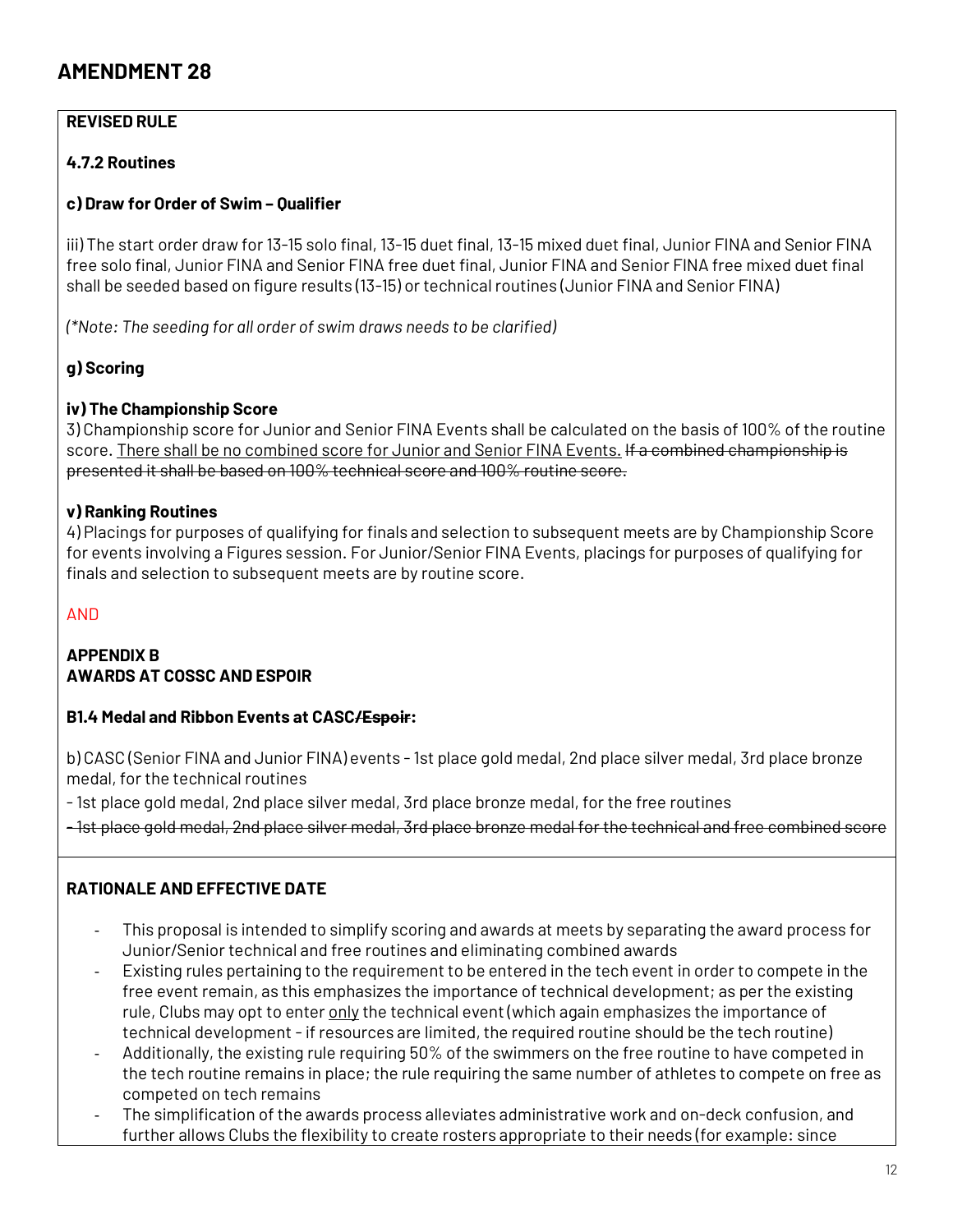#### **REVISED RULE**

#### **4.7.2 Routines**

#### **c) Draw for Order of Swim – Qualifier**

iii) The start order draw for 13-15 solo final, 13-15 duet final, 13-15 mixed duet final, Junior FINA and Senior FINA free solo final, Junior FINA and Senior FINA free duet final, Junior FINA and Senior FINA free mixed duet final shall be seeded based on figure results (13-15) or technical routines (Junior FINA and Senior FINA)

*(\*Note: The seeding for all order of swim draws needs to be clarified)*

#### **g) Scoring**

#### **iv) The Championship Score**

3) Championship score for Junior and Senior FINA Events shall be calculated on the basis of 100% of the routine score. There shall be no combined score for Junior and Senior FINA Events. If a combined championship is presented it shall be based on 100% technical score and 100% routine score.

#### **v) Ranking Routines**

4) Placings for purposes of qualifying for finals and selection to subsequent meets are by Championship Score for events involving a Figures session. For Junior/Senior FINA Events, placings for purposes of qualifying for finals and selection to subsequent meets are by routine score.

#### AND

#### **APPENDIX B AWARDS AT COSSC AND ESPOIR**

#### **B1.4 Medal and Ribbon Events at CASC/Espoir:**

b) CASC (Senior FINA and Junior FINA) events -1st place gold medal, 2nd place silver medal, 3rd place bronze medal, for the technical routines

-1st place gold medal, 2nd place silver medal, 3rd place bronze medal, for the free routines

-1st place gold medal, 2nd place silver medal, 3rd place bronze medal for the technical and free combined score

#### **RATIONALE AND EFFECTIVE DATE**

- This proposal is intended to simplify scoring and awards at meets by separating the award process for Junior/Senior technical and free routines and eliminating combined awards
- Existing rules pertaining to the requirementto be entered in the tech event in order to compete in the free event remain, as this emphasizes the importance of technical development; as per the existing rule, Clubs may opt to enter only the technical event (which again emphasizes the importance of technical development - if resources are limited, the required routine should be the tech routine)
- Additionally, the existing rule requiring 50% of the swimmers on the free routine to have competed in the tech routine remains in place; the rule requiring the same number of athletes to compete on free as competed on tech remains
- The simplification of the awards process alleviates administrative work and on-deck confusion, and further allows Clubs the flexibility to create rosters appropriate to their needs (for example: since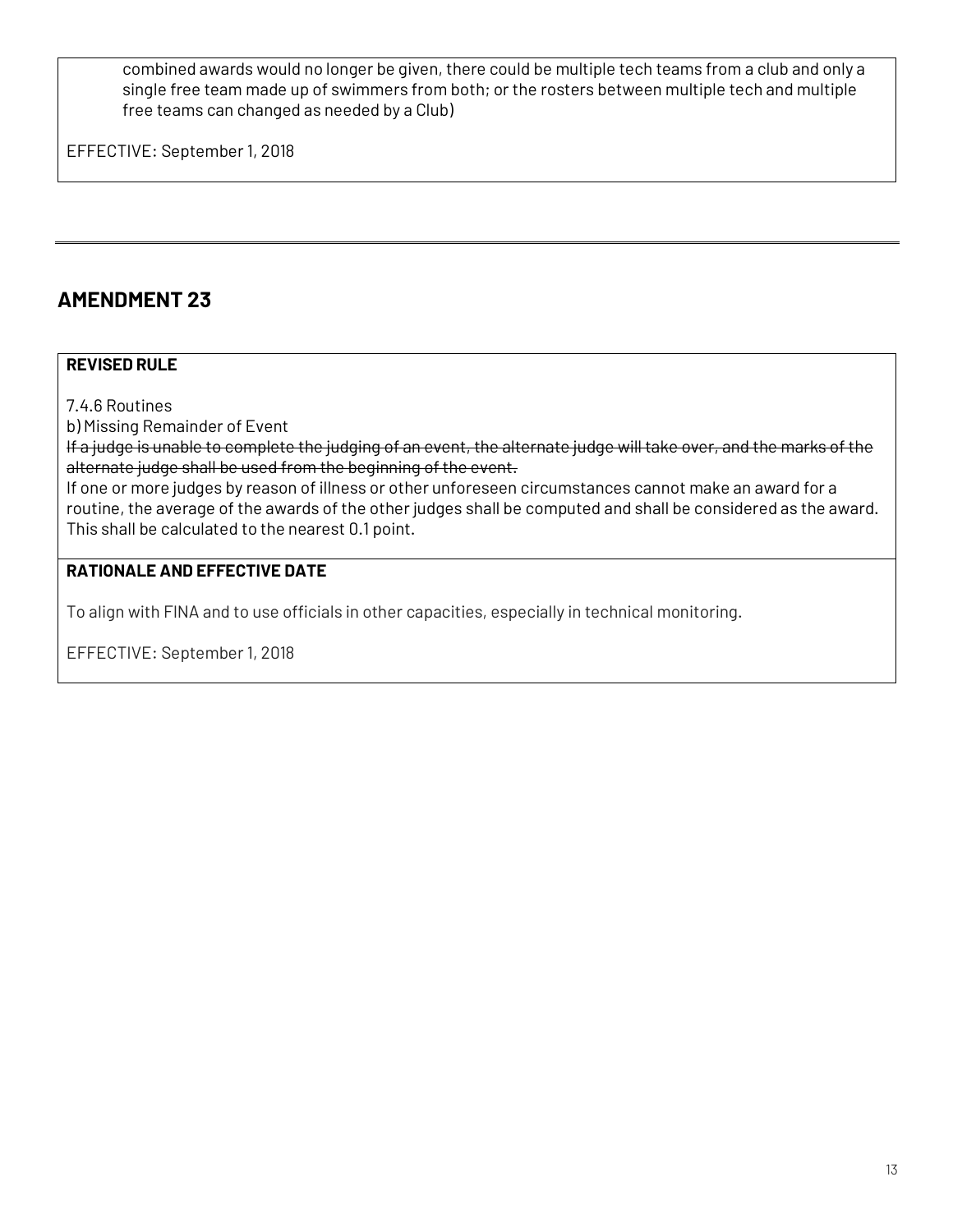combined awards would no longer be given, there could be multiple tech teams from a club and only a single free team made up of swimmers from both; or the rosters between multiple tech and multiple free teams can changed as needed by a Club)

EFFECTIVE: September 1, 2018

## **AMENDMENT 23**

#### **REVISED RULE**

7.4.6 Routines

b) Missing Remainder of Event

If a judge is unable to complete the judging of an event, the alternate judge will take over, and the marks of the alternate judge shall be used from the beginning of the event.

If one or more judges by reason of illness or other unforeseen circumstances cannot make an award for a routine, the average of the awards of the other judges shall be computed and shall be considered as the award. This shall be calculated to the nearest 0.1 point.

#### **RATIONALE AND EFFECTIVE DATE**

To align with FINA and to use officials in other capacities, especially in technical monitoring.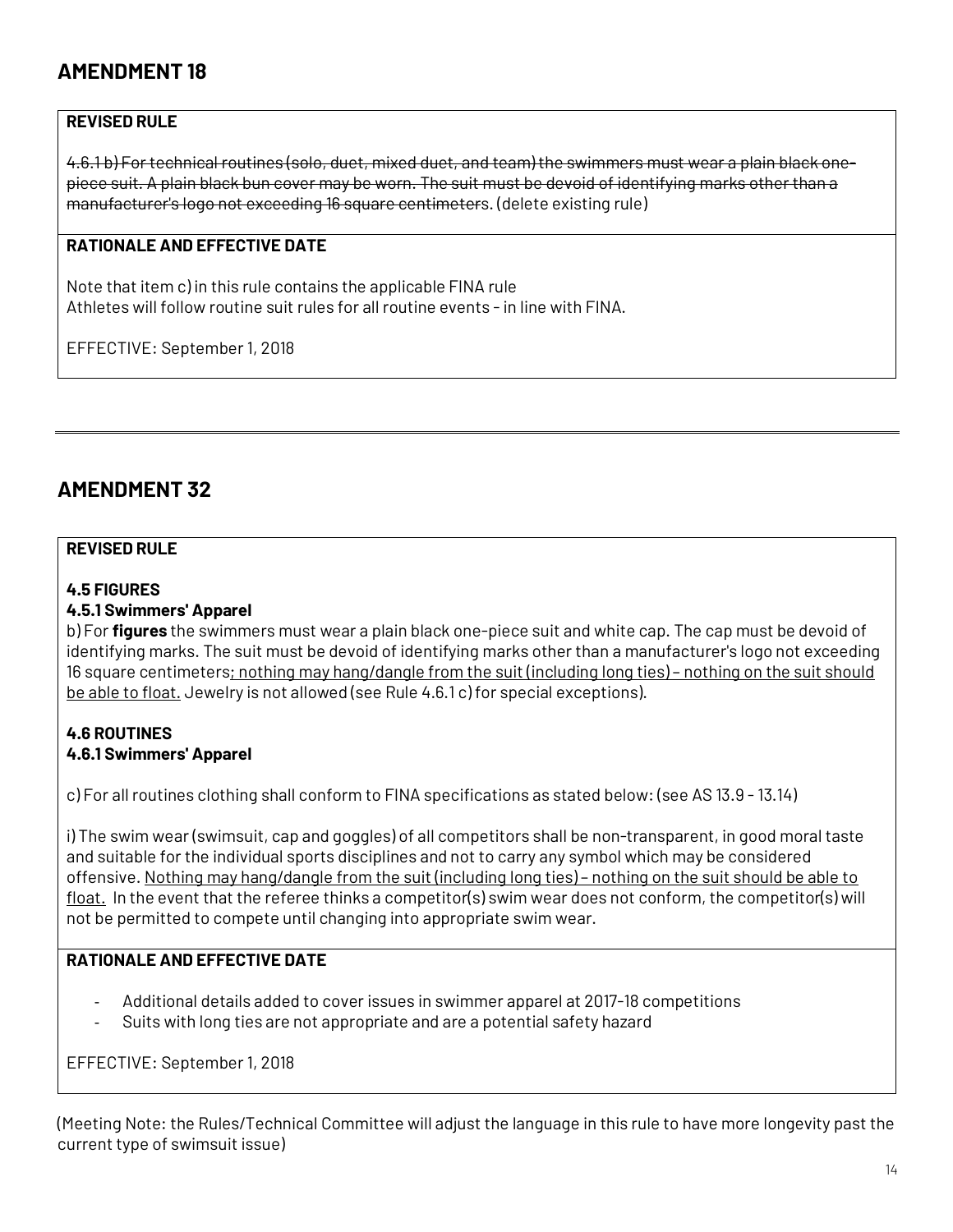#### **REVISED RULE**

4.6.1 b) Fortechnical routines (solo, duet, mixed duet, and team) the swimmers must wear a plain black onepiece suit. A plain black bun cover may be worn. The suit must be devoid of identifying marks otherthan a manufacturer's logo not exceeding 16 square centimeters. (delete existing rule)

#### **RATIONALE AND EFFECTIVE DATE**

Note that item c) in this rule contains the applicable FINA rule Athletes will follow routine suit rules for all routine events -in line with FINA.

EFFECTIVE: September 1, 2018

### **AMENDMENT 32**

#### **REVISED RULE**

#### **4.5 FIGURES**

#### **4.5.1 Swimmers' Apparel**

b) For **figures** the swimmers must wear a plain black one-piece suit and white cap. The cap must be devoid of identifying marks. The suit must be devoid of identifying marks other than a manufacturer's logo not exceeding 16 square centimeters; nothing may hang/dangle from the suit (including long ties) – nothing on the suit should be able to float. Jewelry is not allowed (see Rule 4.6.1 c) for special exceptions).

#### **4.6 ROUTINES 4.6.1 Swimmers' Apparel**

c) For allroutines clothing shall conform to FINA specifications as stated below: (see AS 13.9 -13.14)

i) The swim wear (swimsuit, cap and goggles) of all competitors shall be non-transparent, in good moraltaste and suitable for the individual sports disciplines and not to carry any symbol which may be considered offensive. Nothing may hang/dangle from the suit (including long ties) – nothing on the suit should be able to float. In the event that the referee thinks a competitor(s) swim wear does not conform, the competitor(s) will not be permitted to compete until changing into appropriate swim wear.

#### **RATIONALE AND EFFECTIVE DATE**

- Additional details added to cover issues in swimmer apparel at 2017-18 competitions
- Suits with long ties are not appropriate and are a potential safety hazard

EFFECTIVE: September 1, 2018

(Meeting Note: the Rules/Technical Committee will adjust the language in this rule to have more longevity past the current type of swimsuit issue)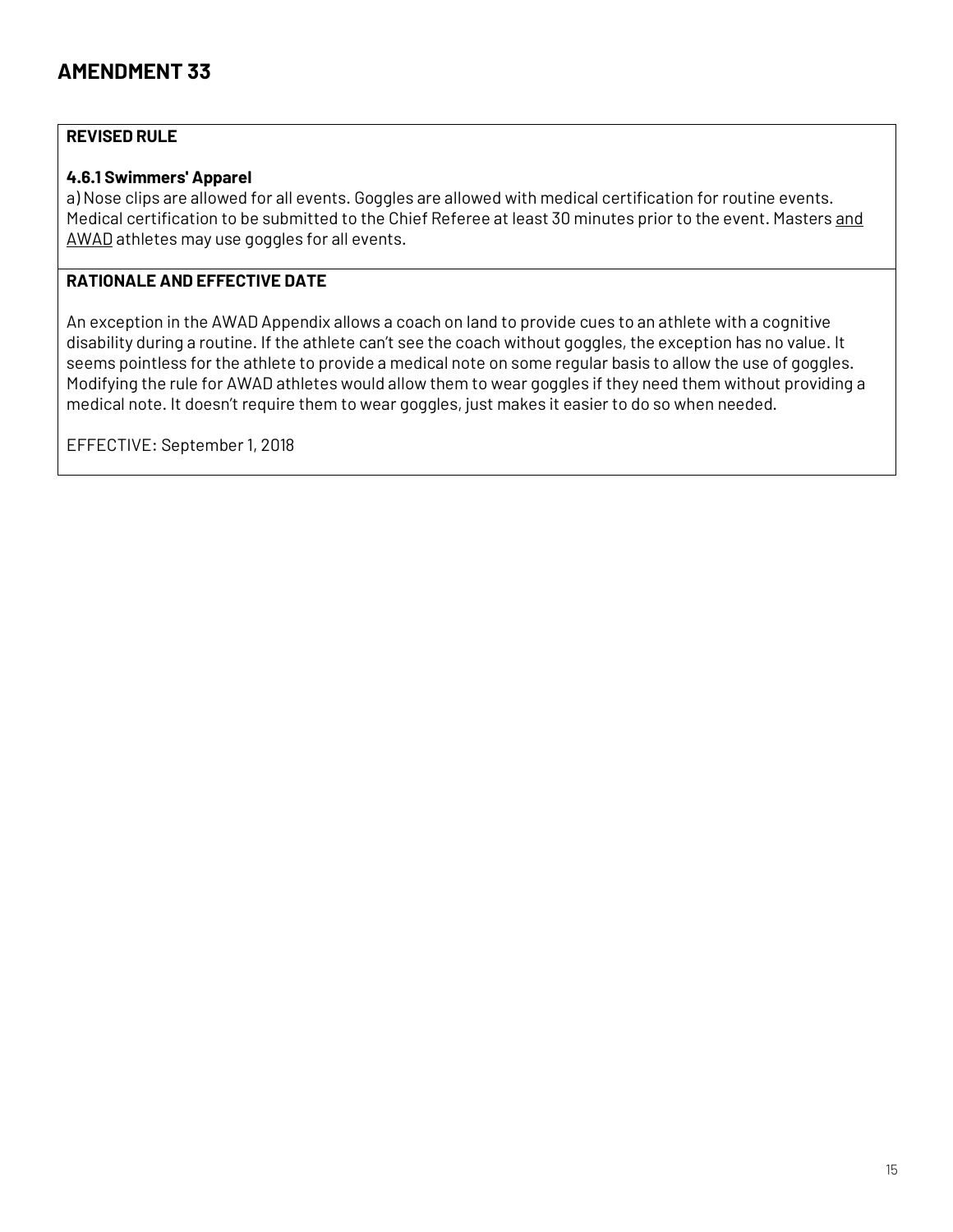#### **REVISED RULE**

#### **4.6.1 Swimmers' Apparel**

a) Nose clips are allowed for all events. Goggles are allowed with medical certification for routine events. Medical certification to be submitted to the Chief Referee at least 30 minutes prior to the event. Masters and AWAD athletes may use goggles for all events.

#### **RATIONALE AND EFFECTIVE DATE**

An exception in the AWAD Appendix allows a coach on land to provide cues to an athlete with a cognitive disability during a routine. If the athlete can't see the coach without goggles, the exception has no value. It seems pointless for the athlete to provide a medical note on some regular basis to allow the use of goggles. Modifying the rule for AWAD athletes would allow them to wear goggles if they need them without providing a medical note. It doesn't require them to wear goggles, just makes it easier to do so when needed.